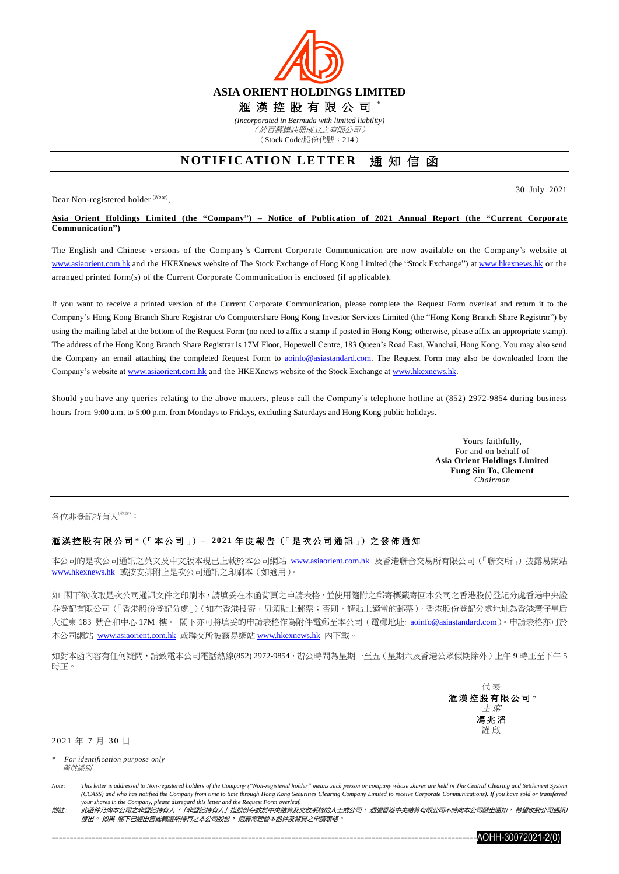

(Stock Code/股份代號:214)

## **NOTIFICATION LETTER** 通知信函

Dear Non-registered holder (*Note*) ,

30 July 2021

## **Asia Orient Holdings Limited (the "Company") – Notice of Publication of 2021 Annual Report (the "Current Corporate Communication")**

The English and Chinese versions of the Company's Current Corporate Communication are now available on the Company's website at [www.asiaorient.com.hk](http://www.asiaorient.com.hk/) and the HKEXnews website of The Stock Exchange of Hong Kong Limited (the "Stock Exchange") at [www.hkexnews.hk](http://www.hkexnews.hk/) or the arranged printed form(s) of the Current Corporate Communication is enclosed (if applicable).

If you want to receive a printed version of the Current Corporate Communication, please complete the Request Form overleaf and return it to the Company's Hong Kong Branch Share Registrar c/o Computershare Hong Kong Investor Services Limited (the "Hong Kong Branch Share Registrar") by using the mailing label at the bottom of the Request Form (no need to affix a stamp if posted in Hong Kong; otherwise, please affix an appropriate stamp). The address of the Hong Kong Branch Share Registrar is 17M Floor, Hopewell Centre, 183 Queen's Road East, Wanchai, Hong Kong. You may also send the Company an email attaching the completed Request Form to aoinfo@asiastandard.com. The Request Form may also be downloaded from the Company's website at [www.asiaorient.com.hk](http://www.asiaorient.com.hk/) and the HKEXnews website of the Stock Exchange a[t www.hkexnews.hk.](http://www.hkexnews.hk/)

Should you have any queries relating to the above matters, please call the Company's telephone hotline at (852) 2972-9854 during business hours from 9:00 a.m. to 5:00 p.m. from Mondays to Fridays, excluding Saturdays and Hong Kong public holidays.

> Yours faithfully, For and on behalf of **Asia Orient Holdings Limited Fung Siu To, Clement** *Chairman*

各位非登記持有人(##):

## 滙 漢 控 股 有 限 公 司 *\**(「 本 公 司 」) **– 20 2 1** 年 度 報 告 (「 是 次 公 司 通 訊 」) 之 發 佈 通 知

本公司的是次公司通訊之英文及中文版本現已上載於本公司網站 [www.asiaorient.com.hk](http://www.asiaorient.com.hk/) 及香港聯合交易所有限公司(「聯交所」)披露易網站 [www.hkexnews.hk](http://www.hkexnews.hk/index_c.htm) 或按安排附上是次公司通訊之印刷本(如適用)。

如 閣下欲收取是次公司通訊文件之印刷本,請填妥在本函背頁之申請表格,並使用隨附之郵寄標籤寄回本公司之香港股份登記分處香港中央證 券登記有限公司(「香港股份登記分處」)(如在香港投寄,毋須貼上郵票;否則,請貼上適當的郵票)。香港股份登記分處地址為香港灣仔皇后 大道東 183 號合和中心 17M 樓。 閣下亦可將填妥的申請表格作為附件電郵至本公司 (電郵地址: aoinfo@asiastandard.com)。申請表格亦可於 本公司網站 [www.asiaorient.com.hk](http://www.asiaorient.com.hk/) 或聯交所披露易網站 [www.hkexnews.hk](http://www.hkexnews.hk/index_c.htm) 內下載。

如對本函內容有任何疑問,請致電本公司電話熱線(852) 2972-9854,辦公時間為星期一至五(星期六及香港公眾假期除外)上午9時正至下午5 時正。

> 代 表 滙 漢 控 股 有 限 公 司 *\** 主 席 馮 兆 滔 謹 啟

2021 年 7 月 30 日

附註: 此函件乃向本公司之非登記持有人 (「非登記持有人」指股份存放於中央結算及交收系統的人士或公司,透過香港中央結算有限公司不時向本公司發出通知,希望收到公司通訊) 發出。如果 閣下已經出售或轉讓所持有之本公司股份, 則無需理會本函件及背頁之申請表格



*<sup>\*</sup> For identification purpose only* 僅供識別

*Note: This letter is addressed to Non-registered holders of the Company ("Non-registered holder" means such person or company whose shares are held in The Central Clearing and Settlement System (CCASS) and who has notified the Company from time to time through Hong Kong Securities Clearing Company Limited to receive Corporate Communications). If you have sold or transferred your shares in the Company, please disregard this letter and the Request Form overleaf.*